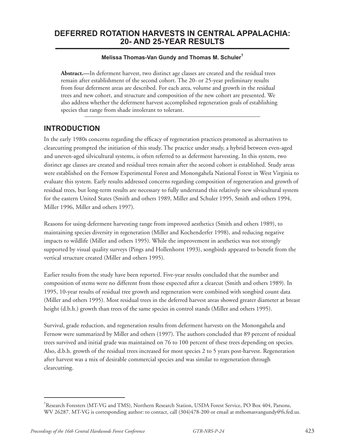## **DEFERRED ROTATION HARVESTS IN CENTRAL APPALACHIA: 20- AND 25-YEAR RESULTS**

#### **Melissa Thomas-Van Gundy and Thomas M. Schuler1**

**Abstract.—**In deferment harvest, two distinct age classes are created and the residual trees remain after establishment of the second cohort. The 20- or 25-year preliminary results from four deferment areas are described. For each area, volume and growth in the residual trees and new cohort, and structure and composition of the new cohort are presented. We also address whether the deferment harvest accomplished regeneration goals of establishing species that range from shade intolerant to tolerant.

## **INTRODUCTION**

In the early 1980s concerns regarding the efficacy of regeneration practices promoted as alternatives to clearcutting prompted the initiation of this study. The practice under study, a hybrid between even-aged and uneven-aged silvicultural systems, is often referred to as deferment harvesting. In this system, two distinct age classes are created and residual trees remain after the second cohort is established. Study areas were established on the Fernow Experimental Forest and Monongahela National Forest in West Virginia to evaluate this system. Early results addressed concerns regarding composition of regeneration and growth of residual trees, but long-term results are necessary to fully understand this relatively new silvicultural system for the eastern United States (Smith and others 1989, Miller and Schuler 1995, Smith and others 1994, Miller 1996, Miller and others 1997).

Reasons for using deferment harvesting range from improved aesthetics (Smith and others 1989), to maintaining species diversity in regeneration (Miller and Kochenderfer 1998), and reducing negative impacts to wildlife (Miller and others 1995). While the improvement in aesthetics was not strongly supported by visual quality surveys (Pings and Hollenhorst 1993), songbirds appeared to benefit from the vertical structure created (Miller and others 1995).

Earlier results from the study have been reported. Five-year results concluded that the number and composition of stems were no different from those expected after a clearcut (Smith and others 1989). In 1995, 10-year results of residual tree growth and regeneration were combined with songbird count data (Miller and others 1995). Most residual trees in the deferred harvest areas showed greater diameter at breast height (d.b.h.) growth than trees of the same species in control stands (Miller and others 1995).

Survival, grade reduction, and regeneration results from deferment harvests on the Monongahela and Fernow were summarized by Miller and others (1997). The authors concluded that 89 percent of residual trees survived and initial grade was maintained on 76 to 100 percent of these trees depending on species. Also, d.b.h. growth of the residual trees increased for most species 2 to 5 years post-harvest. Regeneration after harvest was a mix of desirable commercial species and was similar to regeneration through clearcutting.

<sup>&</sup>lt;sup>1</sup>Research Foresters (MT-VG and TMS), Northern Research Station, USDA Forest Service, PO Box 404, Parsons, WV 26287. MT-VG is corresponding author: to contact, call (304)478-200 or email at mthomasvangundy@fs.fed.us.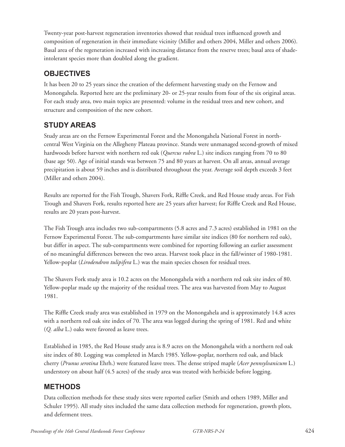Twenty-year post-harvest regeneration inventories showed that residual trees influenced growth and composition of regeneration in their immediate vicinity (Miller and others 2004, Miller and others 2006). Basal area of the regeneration increased with increasing distance from the reserve trees; basal area of shadeintolerant species more than doubled along the gradient.

# **OBJECTIVES**

It has been 20 to 25 years since the creation of the deferment harvesting study on the Fernow and Monongahela. Reported here are the preliminary 20- or 25-year results from four of the six original areas. For each study area, two main topics are presented: volume in the residual trees and new cohort, and structure and composition of the new cohort.

# **STUDY AREAS**

Study areas are on the Fernow Experimental Forest and the Monongahela National Forest in northcentral West Virginia on the Allegheny Plateau province. Stands were unmanaged second-growth of mixed hardwoods before harvest with northern red oak (*Quercus rubra* L.) site indices ranging from 70 to 80 (base age 50). Age of initial stands was between 75 and 80 years at harvest. On all areas, annual average precipitation is about 59 inches and is distributed throughout the year. Average soil depth exceeds 3 feet (Miller and others 2004).

Results are reported for the Fish Trough, Shavers Fork, Riffle Creek, and Red House study areas. For Fish Trough and Shavers Fork, results reported here are 25 years after harvest; for Riffle Creek and Red House, results are 20 years post-harvest.

The Fish Trough area includes two sub-compartments (5.8 acres and 7.3 acres) established in 1981 on the Fernow Experimental Forest. The sub-compartments have similar site indices (80 for northern red oak), but differ in aspect. The sub-compartments were combined for reporting following an earlier assessment of no meaningful differences between the two areas. Harvest took place in the fall/winter of 1980-1981. Yellow-poplar (*Lirodendron tulipifera* L.) was the main species chosen for residual trees.

The Shavers Fork study area is 10.2 acres on the Monongahela with a northern red oak site index of 80. Yellow-poplar made up the majority of the residual trees. The area was harvested from May to August 1981.

The Riffle Creek study area was established in 1979 on the Monongahela and is approximately 14.8 acres with a northern red oak site index of 70. The area was logged during the spring of 1981. Red and white (*Q. alba* L.) oaks were favored as leave trees.

Established in 1985, the Red House study area is 8.9 acres on the Monongahela with a northern red oak site index of 80. Logging was completed in March 1985. Yellow-poplar, northern red oak, and black cherry (*Prunus serotina* Ehrh.) were featured leave trees. The dense striped maple (*Acer pennsylvanicum* L.) understory on about half (4.5 acres) of the study area was treated with herbicide before logging.

# **METHODS**

Data collection methods for these study sites were reported earlier (Smith and others 1989, Miller and Schuler 1995). All study sites included the same data collection methods for regeneration, growth plots, and deferment trees.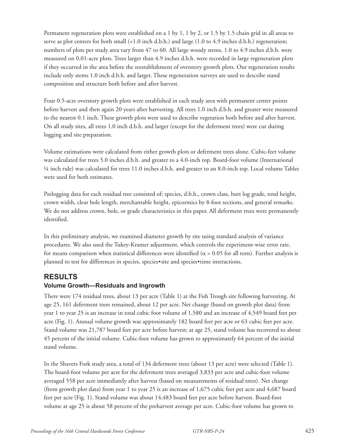Permanent regeneration plots were established on a 1 by 1, 1 by 2, or 1.5 by 1.5 chain grid in all areas to serve as plot centers for both small (<1.0 inch d.b.h.) and large (1.0 to 4.9 inches d.b.h.) regeneration; numbers of plots per study area vary from 47 to 60. All large woody stems, 1.0 to 4.9 inches d.b.h. were measured on 0.01-acre plots. Trees larger than 4.9 inches d.b.h. were recorded in large regeneration plots if they occurred in the area before the reestablishment of overstory growth plots. Our regeneration results include only stems 1.0 inch d.b.h. and larger. These regeneration surveys are used to describe stand composition and structure both before and after harvest.

Four 0.5-acre overstory growth plots were established in each study area with permanent center points before harvest and then again 20 years after harvesting. All trees 1.0 inch d.b.h. and greater were measured to the nearest 0.1 inch. These growth plots were used to describe vegetation both before and after harvest. On all study sites, all trees 1.0 inch d.b.h. and larger (except for the deferment trees) were cut during logging and site preparation.

Volume estimations were calculated from either growth plots or deferment trees alone. Cubic-feet volume was calculated for trees 5.0 inches d.b.h. and greater to a 4.0-inch top. Board-foot volume (International ¼ inch rule) was calculated for trees 11.0 inches d.b.h. and greater to an 8.0-inch top. Local volume Tables were used for both estimates.

Prelogging data for each residual tree consisted of: species, d.b.h., crown class, butt log grade, total height, crown width, clear bole length, merchantable height, epicormics by 8-foot sections, and general remarks. We do not address crown, bole, or grade characteristics in this paper. All deferment trees were permanently identified.

In this preliminary analysis, we examined diameter growth by site using standard analysis of variance procedures. We also used the Tukey-Kramer adjustment, which controls the experiment-wise error rate, for means comparison when statistical differences were identified ( $\alpha$  = 0.05 for all tests). Further analysis is planned to test for differences in species, species•site and species•time interactions.

## **RESULTS**

### **Volume Growth—Residuals and Ingrowth**

There were 174 residual trees, about 13 per acre (Table 1) at the Fish Trough site following harvesting. At age 25, 161 deferment trees remained, about 12 per acre. Net change (based on growth plot data) from year 1 to year 25 is an increase in total cubic foot volume of 1,580 and an increase of 4,549 board feet per acre (Fig. 1). Annual volume growth was approximately 182 board feet per acre or 63 cubic feet per acre. Stand volume was 21,787 board feet per acre before harvest; at age 25, stand volume has recovered to about 45 percent of the initial volume. Cubic-foot volume has grown to approximately 64 percent of the initial stand volume.

In the Shavers Fork study area, a total of 134 deferment trees (about 13 per acre) were selected (Table 1). The board-foot volume per acre for the deferment trees averaged 3,833 per acre and cubic-foot volume averaged 558 per acre immediately after harvest (based on measurements of residual trees). Net change (from growth plot data) from year 1 to year 25 is an increase of 1,675 cubic feet per acre and 4,687 board feet per acre (Fig. 1). Stand volume was about 14,483 board feet per acre before harvest. Board-foot volume at age 25 is about 58 percent of the preharvest average per acre. Cubic-foot volume has grown to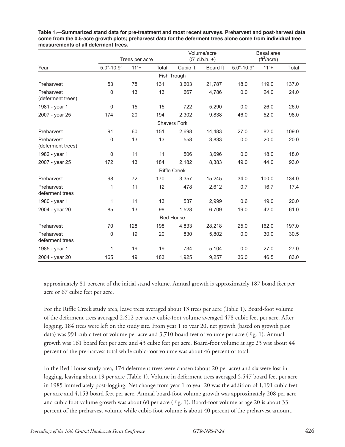|                                 |              | Trees per acre |           |                     | Volume/acre<br>$(5" d.b.h. +)$ | Basal area<br>(tf <sup>2</sup> /acre) |        |       |  |  |
|---------------------------------|--------------|----------------|-----------|---------------------|--------------------------------|---------------------------------------|--------|-------|--|--|
| Year                            | $5.0 - 10.9$ | $11"+$         | Total     | Cubic ft.           | Board ft                       | $5.0 - 10.9$                          | $11"+$ | Total |  |  |
| Fish Trough                     |              |                |           |                     |                                |                                       |        |       |  |  |
| Preharvest                      | 53           | 78             | 131       | 3,603               | 21,787                         | 18.0                                  | 119.0  | 137.0 |  |  |
| Preharvest<br>(deferment trees) | 0            | 13             | 13        | 667                 | 4,786                          | 0.0                                   | 24.0   | 24.0  |  |  |
| 1981 - year 1                   | $\mathbf 0$  | 15             | 15        | 722                 | 5,290                          | 0.0                                   | 26.0   | 26.0  |  |  |
| 2007 - year 25                  | 174          | 20             | 194       | 2,302               | 9,838                          | 46.0                                  | 52.0   | 98.0  |  |  |
|                                 |              |                |           | <b>Shavers Fork</b> |                                |                                       |        |       |  |  |
| Preharvest                      | 91           | 60             | 151       | 2,698               | 14,483                         | 27.0                                  | 82.0   | 109.0 |  |  |
| Preharvest<br>(deferment trees) | 0            | 13             | 13        | 558                 | 3,833                          | 0.0                                   | 20.0   | 20.0  |  |  |
| 1982 - year 1                   | $\mathbf 0$  | 11             | 11        | 506                 | 3,696                          | 0.0                                   | 18.0   | 18.0  |  |  |
| 2007 - year 25                  | 172          | 13             | 184       | 2,182               | 8,383                          | 49.0                                  | 44.0   | 93.0  |  |  |
|                                 |              |                |           | <b>Riffle Creek</b> |                                |                                       |        |       |  |  |
| Preharvest                      | 98           | 72             | 170       | 3,357               | 15,245                         | 34.0                                  | 100.0  | 134.0 |  |  |
| Preharvest<br>deferment trees   | 1            | 11             | 12        | 478                 | 2,612                          | 0.7                                   | 16.7   | 17.4  |  |  |
| 1980 - year 1                   | 1            | 11             | 13        | 537                 | 2,999                          | 0.6                                   | 19.0   | 20.0  |  |  |
| 2004 - year 20                  | 85           | 13             | 98        | 1,528               | 6,709                          | 19.0                                  | 42.0   | 61.0  |  |  |
|                                 |              |                | Red House |                     |                                |                                       |        |       |  |  |
| Preharvest                      | 70           | 128            | 198       | 4,833               | 28,218                         | 25.0                                  | 162.0  | 197.0 |  |  |
| Preharvest<br>deferment trees   | $\mathbf 0$  | 19             | 20        | 830                 | 5,802                          | 0.0                                   | 30.0   | 30.5  |  |  |
| 1985 - year 1                   | 1            | 19             | 19        | 734                 | 5,104                          | 0.0                                   | 27.0   | 27.0  |  |  |
| 2004 - year 20                  | 165          | 19             | 183       | 1,925               | 9,257                          | 36.0                                  | 46.5   | 83.0  |  |  |

**Table 1.—Summarized stand data for pre-treatment and most recent surveys. Preharvest and post-harvest data come from the 0.5-acre growth plots; preharvest data for the deferment trees alone come from individual tree measurements of all deferment trees.**

approximately 81 percent of the initial stand volume. Annual growth is approximately 187 board feet per acre or 67 cubic feet per acre.

For the Riffle Creek study area, leave trees averaged about 13 trees per acre (Table 1). Board-foot volume of the deferment trees averaged 2,612 per acre; cubic-foot volume averaged 478 cubic feet per acre. After logging, 184 trees were left on the study site. From year 1 to year 20, net growth (based on growth plot data) was 991 cubic feet of volume per acre and 3,710 board feet of volume per acre (Fig. 1). Annual growth was 161 board feet per acre and 43 cubic feet per acre. Board-foot volume at age 23 was about 44 percent of the pre-harvest total while cubic-foot volume was about 46 percent of total.

In the Red House study area, 174 deferment trees were chosen (about 20 per acre) and six were lost in logging, leaving about 19 per acre (Table 1). Volume in deferment trees averaged 5,547 board feet per acre in 1985 immediately post-logging. Net change from year 1 to year 20 was the addition of 1,191 cubic feet per acre and 4,153 board feet per acre. Annual board-foot volume growth was approximately 208 per acre and cubic foot volume growth was about 60 per acre (Fig. 1). Board-foot volume at age 20 is about 33 percent of the preharvest volume while cubic-foot volume is about 40 percent of the preharvest amount.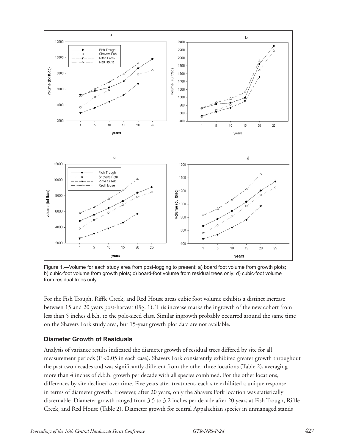

Figure 1.—Volume for each study area from post-logging to present; a) board foot volume from growth plots; b) cubic-foot volume from growth plots; c) board-foot volume from residual trees only; d) cubic-foot volume from residual trees only.

For the Fish Trough, Riffle Creek, and Red House areas cubic foot volume exhibits a distinct increase between 15 and 20 years post-harvest (Fig. 1). This increase marks the ingrowth of the new cohort from less than 5 inches d.b.h. to the pole-sized class. Similar ingrowth probably occurred around the same time on the Shavers Fork study area, but 15-year growth plot data are not available.

#### **Diameter Growth of Residuals**

Analysis of variance results indicated the diameter growth of residual trees differed by site for all measurement periods (P <0.05 in each case). Shavers Fork consistently exhibited greater growth throughout the past two decades and was significantly different from the other three locations (Table 2), averaging more than 4 inches of d.b.h. growth per decade with all species combined. For the other locations, differences by site declined over time. Five years after treatment, each site exhibited a unique response in terms of diameter growth. However, after 20 years, only the Shavers Fork location was statistically discernable. Diameter growth ranged from 3.5 to 3.2 inches per decade after 20 years at Fish Trough, Riffle Creek, and Red House (Table 2). Diameter growth for central Appalachian species in unmanaged stands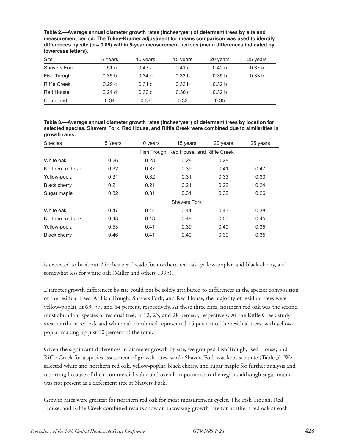**Table 2.—Average annual diameter growth rates (inches/year) of deferment trees by site and measurement period. The Tukey-Kramer adjustment for means comparison was used to identify differences by site (α = 0.05) within 5-year measurement periods (mean differences indicated by lowercase letters).**

| Site                | 5 Years           | 10 years          | 15 years          | 20 years          | 25 years          |
|---------------------|-------------------|-------------------|-------------------|-------------------|-------------------|
| <b>Shavers Fork</b> | 0.51a             | 0.43a             | 0.41a             | 0.42a             | 0.37a             |
| Fish Trough         | 0.35 <sub>b</sub> | 0.34 <sub>b</sub> | 0.33 <sub>b</sub> | 0.35 <sub>b</sub> | 0.33 <sub>b</sub> |
| <b>Riffle Creek</b> | 0.29c             | 0.31c             | 0.32 <sub>b</sub> | 0.32 <sub>b</sub> |                   |
| <b>Red House</b>    | 0.24d             | 0.30c             | 0.30c             | 0.32 <sub>b</sub> |                   |
| Combined            | 0.34              | 0.33              | 0.33              | 0.35              |                   |

**Table 3.—Average annual diameter growth rates (inches/year) of deferment trees by location for selected species. Shavers Fork, Red House, and Riffle Creek were combined due to similarities in growth rates.**

| <b>Species</b>      | 5 Years             | 10 years                                 | 15 years | 20 years | 25 years |  |  |  |  |
|---------------------|---------------------|------------------------------------------|----------|----------|----------|--|--|--|--|
|                     |                     | Fish Trough, Red House, and Riffle Creek |          |          |          |  |  |  |  |
| White oak           | 0.26                | 0.28                                     | 0.28     | 0.28     | --       |  |  |  |  |
| Northern red oak    | 0.32                | 0.37                                     | 0.39     | 0.41     | 0.47     |  |  |  |  |
| Yellow-poplar       | 0.31                | 0.32                                     | 0.31     | 0.33     | 0.33     |  |  |  |  |
| <b>Black cherry</b> | 0.21                | 0.21                                     | 0.21     | 0.22     | 0.24     |  |  |  |  |
| Sugar maple         | 0.32                | 0.31                                     | 0.31     | 0.32     | 0.26     |  |  |  |  |
|                     | <b>Shavers Fork</b> |                                          |          |          |          |  |  |  |  |
| White oak           | 0.47                | 0.44                                     | 0.44     | 0.43     | 0.38     |  |  |  |  |
| Northern red oak    | 0.48                | 0.48                                     | 0.48     | 0.50     | 0.45     |  |  |  |  |
| Yellow-poplar       | 0.53                | 0.41                                     | 0.39     | 0.40     | 0.35     |  |  |  |  |
| <b>Black cherry</b> | 0.46                | 0.41                                     | 0.40     | 0.39     | 0.35     |  |  |  |  |

is expected to be about 2 inches per decade for northern red oak, yellow-poplar, and black cherry, and somewhat less for white oak (Miller and others 1995).

Diameter growth differences by site could not be solely attributed to differences in the species composition of the residual trees. At Fish Trough, Shavers Fork, and Red House, the majority of residual trees were yellow-poplar, at 63, 57, and 64 percent, respectively. At these three sites, northern red oak was the second most abundant species of residual tree, at 12, 23, and 28 percent, respectively. At the Riffle Creek study area, northern red oak and white oak combined represented 75 percent of the residual trees, with yellowpoplar making up just 10 percent of the total.

Given the significant differences in diameter growth by site, we grouped Fish Trough, Red House, and Riffle Creek for a species assessment of growth rates, while Shavers Fork was kept separate (Table 3). We selected white and northern red oak, yellow-poplar, black cherry, and sugar maple for further analysis and reporting because of their commercial value and overall importance in the region, although sugar maple was not present as a deferment tree at Shavers Fork.

Growth rates were greatest for northern red oak for most measurement cycles. The Fish Trough, Red House, and Riffle Creek combined results show an increasing growth rate for northern red oak at each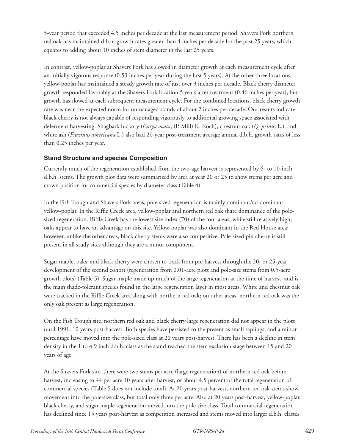5-year period that exceeded 4.5 inches per decade at the last measurement period. Shavers Fork northern red oak has maintained d.b.h. growth rates greater than 4 inches per decade for the past 25 years, which equates to adding about 10 inches of stem diameter in the last 25 years.

In contrast, yellow-poplar at Shavers Fork has slowed in diameter growth at each measurement cycle after an initially vigorous response (0.53 inches per year during the first 5 years). At the other three locations, yellow-poplar has maintained a steady growth rate of just over 3 inches per decade. Black cherry diameter growth responded favorably at the Shavers Fork location 5 years after treatment (0.46 inches per year), but growth has slowed at each subsequent measurement cycle. For the combined locations, black cherry growth rate was near the expected norm for unmanaged stands of about 2 inches per decade. Our results indicate black cherry is not always capable of responding vigorously to additional growing space associated with deferment harvesting. Shagbark hickory (*Carya ovata*, (P. Mill) K. Koch), chestnut oak (*Q. prinus* L.), and white ash (*Fraxinus americana* L.) also had 20-year post-treatment average annual d.b.h. growth rates of less than 0.25 inches per year.

### **Stand Structure and species Composition**

Currently much of the regeneration established from the two-age harvest is represented by 6- to 10-inch d.b.h. stems. The growth plot data were summarized by area at year 20 or 25 to show stems per acre and crown position for commercial species by diameter class (Table 4).

In the Fish Trough and Shavers Fork areas, pole-sized regeneration is mainly dominant/co-dominant yellow-poplar. In the Riffle Creek area, yellow-poplar and northern red oak share dominance of the polesized regeneration. Riffle Creek has the lowest site index (70) of the four areas, while still relatively high; oaks appear to have an advantage on this site. Yellow-poplar was also dominant in the Red House area; however, unlike the other areas, black cherry stems were also competitive. Pole-sized pin cherry is still present in all study sites although they are a minor component.

Sugar maple, oaks, and black cherry were chosen to track from pre-harvest through the 20- or 25-year development of the second cohort (regeneration from 0.01-acre plots and pole-size stems from 0.5-acre growth plots) (Table 5). Sugar maple made up much of the large regeneration at the time of harvest, and is the main shade-tolerant species found in the large regeneration layer in most areas. White and chestnut oak were tracked in the Riffle Creek area along with northern red oak; on other areas, northern red oak was the only oak present as large regeneration.

On the Fish Trough site, northern red oak and black cherry large regeneration did not appear in the plots until 1991, 10 years post-harvest. Both species have persisted to the present as small saplings, and a minor percentage have moved into the pole-sized class at 20 years post-harvest. There has been a decline in stem density in the 1 to 4.9 inch d.b.h. class as the stand reached the stem exclusion stage between 15 and 20 years of age.

At the Shavers Fork site, there were two stems per acre (large regeneration) of northern red oak before harvest, increasing to 44 per acre 10 years after harvest, or about 4.5 percent of the total regeneration of commercial species (Table 5 does not include total). At 20 years post-harvest, northern red oak stems show movement into the pole-size class, but total only three per acre. Also at 20 years post-harvest, yellow-poplar, black cherry, and sugar maple regeneration moved into the pole-size class. Total commercial regeneration has declined since 15 years post-harvest as competition increased and stems moved into larger d.b.h. classes.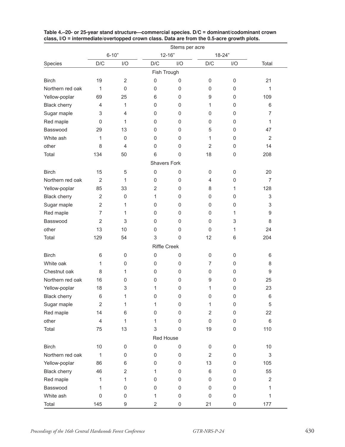|                     | Stems per acre          |                     |                     |             |                     |             |                  |  |  |
|---------------------|-------------------------|---------------------|---------------------|-------------|---------------------|-------------|------------------|--|--|
|                     |                         | $6 - 10"$           | $12 - 16"$          |             | $18 - 24"$          |             |                  |  |  |
| Species             | D/C                     | I/O                 | D/C                 | I/O         | D/C                 | I/O         | Total            |  |  |
|                     |                         |                     | Fish Trough         |             |                     |             |                  |  |  |
| <b>Birch</b>        | 19                      | $\overline{2}$      | $\mathsf{O}\xspace$ | $\mathsf 0$ | 0                   | $\mathbf 0$ | 21               |  |  |
| Northern red oak    | 1                       | $\mathbf 0$         | 0                   | 0           | 0                   | $\mathbf 0$ | 1                |  |  |
| Yellow-poplar       | 69                      | 25                  | 6                   | 0           | 9                   | $\mathbf 0$ | 109              |  |  |
| <b>Black cherry</b> | $\overline{4}$          | 1                   | 0                   | 0           | 1                   | 0           | 6                |  |  |
| Sugar maple         | 3                       | 4                   | 0                   | 0           | 0                   | 0           | $\overline{7}$   |  |  |
| Red maple           | $\mathbf 0$             | 1                   | 0                   | $\mathbf 0$ | 0                   | $\mathbf 0$ | 1                |  |  |
| Basswood            | 29                      | 13                  | 0                   | 0           | 5                   | $\mathbf 0$ | 47               |  |  |
| White ash           | 1                       | $\mathbf 0$         | 0                   | $\mathbf 0$ | 1                   | $\mathbf 0$ | $\overline{2}$   |  |  |
| other               | 8                       | 4                   | 0                   | 0           | $\overline{2}$      | $\pmb{0}$   | 14               |  |  |
| Total               | 134                     | 50                  | 6                   | $\mathbf 0$ | 18                  | $\mathbf 0$ | 208              |  |  |
|                     |                         |                     | <b>Shavers Fork</b> |             |                     |             |                  |  |  |
| <b>Birch</b>        | 15                      | 5                   | $\mathsf 0$         | 0           | 0                   | $\mathbf 0$ | 20               |  |  |
| Northern red oak    | $\overline{2}$          | 1                   | 0                   | 0           | 4                   | $\mathbf 0$ | $\overline{7}$   |  |  |
| Yellow-poplar       | 85                      | 33                  | $\overline{2}$      | $\mathbf 0$ | 8                   | 1           | 128              |  |  |
| <b>Black cherry</b> | $\overline{2}$          | $\mathbf 0$         | 1                   | 0           | 0                   | $\mathbf 0$ | 3                |  |  |
| Sugar maple         | $\overline{2}$          | 1                   | 0                   | 0           | 0                   | 0           | 3                |  |  |
| Red maple           | 7                       | 1                   | 0                   | 0           | 0                   | 1           | $\boldsymbol{9}$ |  |  |
| Basswood            | $\overline{2}$          | 3                   | 0                   | $\mathbf 0$ | 0                   | 3           | 8                |  |  |
| other               | 13                      | 10                  | 0                   | $\mathbf 0$ | $\mathbf 0$         | 1           | 24               |  |  |
|                     |                         |                     |                     |             |                     |             |                  |  |  |
| Total               | 129                     | 54                  | 3                   | $\mathbf 0$ | 12                  | 6           | 204              |  |  |
|                     |                         |                     | <b>Riffle Creek</b> |             |                     |             |                  |  |  |
| <b>Birch</b>        | 6                       | 0                   | $\pmb{0}$           | 0           | 0                   | 0           | 6                |  |  |
| White oak           | 1                       | $\mathbf 0$         | 0                   | 0           | $\overline{7}$      | 0           | 8                |  |  |
| Chestnut oak        | 8                       | 1                   | 0                   | 0           | 0                   | $\mathbf 0$ | 9                |  |  |
| Northern red oak    | 16                      | $\mathbf 0$         | 0                   | 0           | 9                   | 0           | 25               |  |  |
| Yellow-poplar       | 18                      | 3                   | 1                   | 0           | 1                   | $\mathbf 0$ | 23               |  |  |
| <b>Black cherry</b> | 6                       | 1                   | 0                   | $\mathbf 0$ | 0                   | 0           | 6                |  |  |
| Sugar maple         | $\overline{2}$          | 1                   | 1                   | $\mathsf 0$ | 1                   | $\mathbf 0$ | $\mathbf 5$      |  |  |
| Red maple           | 14                      | 6                   | $\mathsf 0$         | $\mathbf 0$ | $\overline{2}$      | $\pmb{0}$   | 22               |  |  |
| other               | $\overline{\mathbf{4}}$ | 1                   | 1                   | $\mathbf 0$ | $\mathsf{O}\xspace$ | $\pmb{0}$   | 6                |  |  |
| Total               | 75                      | 13                  | 3                   | $\mathbf 0$ | 19                  | $\mathsf 0$ | 110              |  |  |
|                     |                         |                     | Red House           |             |                     |             |                  |  |  |
| <b>Birch</b>        | $10$                    | 0                   | $\mathsf 0$         | 0           | 0                   | $\pmb{0}$   | 10               |  |  |
| Northern red oak    | 1                       | $\mathsf{O}\xspace$ | $\mathsf 0$         | $\mathsf 0$ | $\overline{2}$      | $\pmb{0}$   | 3                |  |  |
| Yellow-poplar       | 86                      | 6                   | 0                   | 0           | 13                  | $\mathsf 0$ | 105              |  |  |
| <b>Black cherry</b> | 46                      | $\overline{2}$      | 1                   | 0           | 6                   | $\pmb{0}$   | 55               |  |  |
| Red maple           | 1                       | 1                   | 0                   | 0           | 0                   | $\mathsf 0$ | $\overline{2}$   |  |  |
| Basswood            | 1                       | 0                   | 0                   | 0           | 0                   | 0           | $\mathbf{1}$     |  |  |
| White ash           | $\,0\,$                 | 0                   | 1                   | $\mathsf 0$ | $\mathbf 0$         | $\mathsf 0$ | $\mathbf{1}$     |  |  |
| Total               | 145                     | 9                   | $\overline{2}$      | $\mathsf 0$ | 21                  | $\mathsf 0$ | 177              |  |  |

#### **Table 4.–20- or 25-year stand structure—commercial species. D/C = dominant/codominant crown class, I/O = intermediate/overtopped crown class. Data are from the 0.5-acre growth plots.**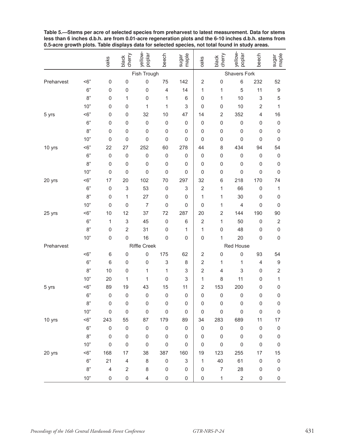|            |        | oaks                    | black<br>cherry         | yellow-<br>poplar   | beech                   | sugar<br>maple | oaks                | black<br>cherry     | yellow-<br>poplar   | beech                     | sugar<br>maple   |
|------------|--------|-------------------------|-------------------------|---------------------|-------------------------|----------------|---------------------|---------------------|---------------------|---------------------------|------------------|
|            |        |                         |                         | Fish Trough         |                         |                | <b>Shavers Fork</b> |                     |                     |                           |                  |
| Preharvest | $<$ 6" | $\mathsf 0$             | 0                       | $\mathsf{O}\xspace$ | 75                      | 142            | $\overline{2}$      | $\mathsf 0$         | 6                   | 232                       | 52               |
|            | 6"     | $\mathsf{O}\xspace$     | 0                       | $\mathsf{O}\xspace$ | $\overline{\mathbf{4}}$ | 14             | 1                   | 1                   | 5                   | 11                        | 9                |
|            | 8"     | $\mathbf 0$             | 1                       | $\mathsf{O}\xspace$ | 1                       | 6              | 0                   | 1                   | 10                  | $\ensuremath{\mathsf{3}}$ | 5                |
|            | 10"    | 0                       | $\mathsf 0$             | 1                   | 1                       | 3              | 0                   | $\mathbf 0$         | 10                  | $\overline{2}$            | 1                |
| 5 yrs      | $<$ 6" | $\mathbf 0$             | 0                       | 32                  | 10                      | 47             | 14                  | 2                   | 352                 | $\overline{4}$            | 16               |
|            | 6"     | 0                       | 0                       | $\mathsf{O}\xspace$ | 0                       | 0              | 0                   | $\mathbf 0$         | $\mathsf{O}\xspace$ | $\mathbf 0$               | $\mathbf 0$      |
|            | 8"     | $\mathbf 0$             | 0                       | 0                   | 0                       | 0              | $\mathbf 0$         | $\mathbf 0$         | $\mathbf 0$         | 0                         | $\mathbf 0$      |
|            | 10"    | $\mathbf 0$             | $\mathbf 0$             | $\mathsf{O}\xspace$ | 0                       | 0              | $\mathbf 0$         | $\mathbf 0$         | 0                   | $\mathbf 0$               | $\mathbf 0$      |
| 10 yrs     | $<$ 6" | 22                      | 27                      | 252                 | 60                      | 278            | 44                  | 8                   | 434                 | 94                        | 54               |
|            | 6"     | $\mathsf 0$             | $\mathbf 0$             | $\mathsf 0$         | $\mathsf 0$             | 0              | 0                   | $\mathbf 0$         | $\mathbf 0$         | $\mathbf 0$               | $\boldsymbol{0}$ |
|            | 8"     | $\mathsf 0$             | $\mathsf 0$             | $\mathsf 0$         | 0                       | 0              | 0                   | 0                   | 0                   | $\mathbf 0$               | $\boldsymbol{0}$ |
|            | 10"    | $\mathbf 0$             | 0                       | $\mathsf{O}\xspace$ | 0                       | 0              | 0                   | $\mathbf 0$         | 0                   | $\mathbf 0$               | $\mathbf 0$      |
| 20 yrs     | $<$ 6" | 17                      | 20                      | 102                 | 70                      | 297            | 32                  | 6                   | 218                 | 170                       | 74               |
|            | 6"     | $\mathbf 0$             | 3                       | 53                  | 0                       | 3              | $\overline{2}$      | 1                   | 66                  | $\mathbf 0$               | 1                |
|            | 8"     | $\mathbf 0$             | $\mathbf{1}$            | 27                  | 0                       | 0              | 1                   | 1                   | 30                  | $\mathbf 0$               | $\mathbf 0$      |
|            | 10"    | $\mathbf 0$             | $\mathsf{O}\xspace$     | $\overline{7}$      | 0                       | 0              | $\mathbf 0$         | 1                   | 4                   | $\mathbf 0$               | $\mathbf 0$      |
| 25 yrs     | $<$ 6" | 10                      | 12                      | 37                  | 72                      | 287            | 20                  | $\overline{2}$      | 144                 | 190                       | 90               |
|            | 6"     | $\mathbf 1$             | 3                       | 45                  | $\mathsf{O}\xspace$     | 6              | $\overline{2}$      | $\mathbf{1}$        | 50                  | $\mathbf 0$               | $\overline{2}$   |
|            | 8"     | $\mathbf 0$             | $\overline{2}$          | 31                  | 0                       | 1              | 1                   | $\mathbf 0$         | 48                  | $\mathbf 0$               | $\pmb{0}$        |
|            | 10"    | $\mathsf{O}\xspace$     | $\mathbf 0$             | 16                  | 0                       | 0              | $\mathsf 0$         | $\mathbf{1}$        | 20                  | $\mathbf 0$               | $\mathbf 0$      |
| Preharvest |        |                         |                         | <b>Riffle Creek</b> |                         |                |                     |                     | Red House           |                           |                  |
|            | $<$ 6" | 6                       | 0                       | $\mathsf 0$         | 175                     | 62             | $\overline{2}$      | $\mathsf{O}\xspace$ | $\mathbf 0$         | 93                        | 54               |
|            | 6"     | 6                       | 0                       | 0                   | 3                       | 8              | $\overline{2}$      | 1                   | 1                   | $\overline{4}$            | 9                |
|            | 8"     | 10                      | 0                       | 1                   | 1                       | 3              | $\overline{2}$      | 4                   | 3                   | 0                         | $\overline{2}$   |
|            | 10"    | 20                      | 1                       | 1                   | $\mathsf 0$             | 3              | 1                   | 8                   | 11                  | $\mathbf 0$               | $\mathbf{1}$     |
| 5 yrs      | $<$ 6" | 89                      | 19                      | 43                  | 15                      | 11             | 2                   | 153                 | 200                 | 0                         | $\mathbf 0$      |
|            | 6"     | 0                       | $\mathbf 0$             | 0                   | 0                       | 0              | 0                   | $\mathsf{O}\xspace$ | 0                   | $\mathbf 0$               | $\mathbf 0$      |
|            | 8"     | 0                       | 0                       | 0                   | 0                       | 0              | 0                   | 0                   | 0                   | 0                         | 0                |
|            | 10"    | $\mathsf 0$             | $\mathsf 0$             | $\mathsf 0$         | $\mathsf{O}\xspace$     | $\mathsf 0$    | $\mathsf 0$         | $\mathsf 0$         | $\mathsf 0$         | $\mathsf 0$               | $\mathbf 0$      |
| 10 yrs     | $<$ 6" | 243                     | 55                      | 87                  | 179                     | 89             | 34                  | 283                 | 689                 | 11                        | 17               |
|            | 6"     | $\mathsf{O}\xspace$     | $\mathsf{O}\xspace$     | $\mathsf{O}\xspace$ | $\mathsf 0$             | $\mathsf 0$    | $\mathbf 0$         | $\mathsf 0$         | $\mathsf 0$         | $\mathsf 0$               | $\pmb{0}$        |
|            | 8"     | $\mathsf{O}\xspace$     | $\mathsf{O}\xspace$     | $\mathsf 0$         | $\mathsf 0$             | $\mathsf 0$    | 0                   | $\mathsf 0$         | $\mathsf{O}\xspace$ | $\mathsf 0$               | $\mathsf 0$      |
|            | 10"    | $\mathsf{O}\xspace$     | 0                       | $\mathsf{O}\xspace$ | $\mathsf{O}\xspace$     | $\mathsf 0$    | $\mathsf 0$         | $\mathsf 0$         | $\mathsf 0$         | $\mathsf 0$               | $\mathbf 0$      |
| 20 yrs     | $<$ 6" | 168                     | 17                      | 38                  | 387                     | 160            | 19                  | 123                 | 255                 | 17                        | 15               |
|            | $6"$   | 21                      | 4                       | $\,$ 8 $\,$         | $\mathsf{O}\xspace$     | 3              | 1                   | 40                  | 61                  | $\mathsf 0$               | $\mathsf 0$      |
|            | 8"     | $\overline{\mathbf{4}}$ | $\overline{\mathbf{c}}$ | 8                   | $\mathsf 0$             | 0              | $\mathsf 0$         | $\overline{7}$      | 28                  | $\mathsf 0$               | $\mathsf 0$      |
|            | $10"$  | $\mathsf 0$             | 0                       | $\overline{4}$      | $\mathsf 0$             | 0              | $\mathsf 0$         | $\mathbf{1}$        | $\overline{2}$      | $\mathsf 0$               | $\mathsf 0$      |

**Table 5.—Stems per acre of selected species from preharvest to latest measurement. Data for stems less than 6 inches d.b.h. are from 0.01-acre regeneration plots and the 6-10 inches d.b.h. stems from 0.5-acre growth plots. Table displays data for selected species, not total found in study areas.**  $\overline{\phantom{a}}$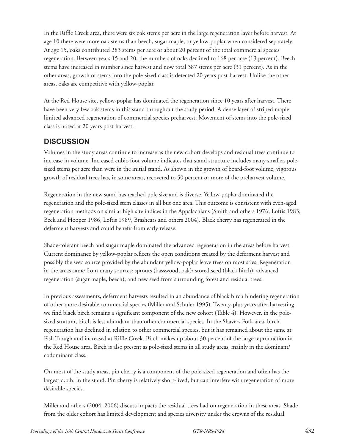In the Riffle Creek area, there were six oak stems per acre in the large regeneration layer before harvest. At age 10 there were more oak stems than beech, sugar maple, or yellow-poplar when considered separately. At age 15, oaks contributed 283 stems per acre or about 20 percent of the total commercial species regeneration. Between years 15 and 20, the numbers of oaks declined to 168 per acre (13 percent). Beech stems have increased in number since harvest and now total 387 stems per acre (31 percent). As in the other areas, growth of stems into the pole-sized class is detected 20 years post-harvest. Unlike the other areas, oaks are competitive with yellow-poplar.

At the Red House site, yellow-poplar has dominated the regeneration since 10 years after harvest. There have been very few oak stems in this stand throughout the study period. A dense layer of striped maple limited advanced regeneration of commercial species preharvest. Movement of stems into the pole-sized class is noted at 20 years post-harvest.

# **DISCUSSION**

Volumes in the study areas continue to increase as the new cohort develops and residual trees continue to increase in volume. Increased cubic-foot volume indicates that stand structure includes many smaller, polesized stems per acre than were in the initial stand. As shown in the growth of board-foot volume, vigorous growth of residual trees has, in some areas, recovered to 50 percent or more of the preharvest volume.

Regeneration in the new stand has reached pole size and is diverse. Yellow-poplar dominated the regeneration and the pole-sized stem classes in all but one area. This outcome is consistent with even-aged regeneration methods on similar high site indices in the Appalachians (Smith and others 1976, Loftis 1983, Beck and Hooper 1986, Loftis 1989, Brashears and others 2004). Black cherry has regenerated in the deferment harvests and could benefit from early release.

Shade-tolerant beech and sugar maple dominated the advanced regeneration in the areas before harvest. Current dominance by yellow-poplar reflects the open conditions created by the deferment harvest and possibly the seed source provided by the abundant yellow-poplar leave trees on most sties. Regeneration in the areas came from many sources: sprouts (basswood, oak); stored seed (black birch); advanced regeneration (sugar maple, beech); and new seed from surrounding forest and residual trees.

In previous assessments, deferment harvests resulted in an abundance of black birch hindering regeneration of other more desirable commercial species (Miller and Schuler 1995). Twenty-plus years after harvesting, we find black birch remains a significant component of the new cohort (Table 4). However, in the polesized stratum, birch is less abundant than other commercial species. In the Shavers Fork area, birch regeneration has declined in relation to other commercial species, but it has remained about the same at Fish Trough and increased at Riffle Creek. Birch makes up about 30 percent of the large reproduction in the Red House area. Birch is also present as pole-sized stems in all study areas, mainly in the dominant/ codominant class.

On most of the study areas, pin cherry is a component of the pole-sized regeneration and often has the largest d.b.h. in the stand. Pin cherry is relatively short-lived, but can interfere with regeneration of more desirable species.

Miller and others (2004, 2006) discuss impacts the residual trees had on regeneration in these areas. Shade from the older cohort has limited development and species diversity under the crowns of the residual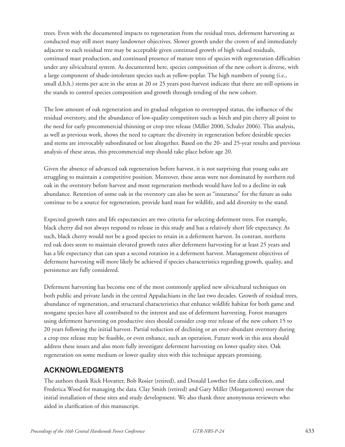trees. Even with the documented impacts to regeneration from the residual trees, deferment harvesting as conducted may still meet many landowner objectives. Slower growth under the crown of and immediately adjacent to each residual tree may be acceptable given continued growth of high valued residuals, continued mast production, and continued presence of mature trees of species with regeneration difficulties under any silvicultural system. As documented here, species composition of the new cohort is diverse, with a large component of shade-intolerant species such as yellow-poplar. The high numbers of young (i.e., small d.b.h.) stems per acre in the areas at 20 or 25 years post-harvest indicate that there are still options in the stands to control species composition and growth through tending of the new cohort.

The low amount of oak regeneration and its gradual relegation to overtopped status, the influence of the residual overstory, and the abundance of low-quality competitors such as birch and pin cherry all point to the need for early precommercial thinning or crop tree release (Miller 2000, Schuler 2006). This analysis, as well as previous work, shows the need to capture the diversity in regeneration before desirable species and stems are irrevocably subordinated or lost altogether. Based on the 20- and 25-year results and previous analysis of these areas, this precommercial step should take place before age 20.

Given the absence of advanced oak regeneration before harvest, it is not surprising that young oaks are struggling to maintain a competitive position. Moreover, these areas were not dominated by northern red oak in the overstory before harvest and most regeneration methods would have led to a decline in oak abundance. Retention of some oak in the overstory can also be seen as "insurance" for the future as oaks continue to be a source for regeneration, provide hard mast for wildlife, and add diversity to the stand.

Expected growth rates and life expectancies are two criteria for selecting deferment trees. For example, black cherry did not always respond to release in this study and has a relatively short life expectancy. As such, black cherry would not be a good species to retain in a deferment harvest. In contrast, northern red oak does seem to maintain elevated growth rates after deferment harvesting for at least 25 years and has a life expectancy that can span a second rotation in a deferment harvest. Management objectives of deferment harvesting will more likely be achieved if species characteristics regarding growth, quality, and persistence are fully considered.

Deferment harvesting has become one of the most commonly applied new silvicultural techniques on both public and private lands in the central Appalachians in the last two decades. Growth of residual trees, abundance of regeneration, and structural characteristics that enhance wildlife habitat for both game and nongame species have all contributed to the interest and use of deferment harvesting. Forest managers using deferment harvesting on productive sites should consider crop tree release of the new cohort 15 to 20 years following the initial harvest. Partial reduction of declining or an over-abundant overstory during a crop tree release may be feasible, or even enhance, such an operation. Future work in this area should address these issues and also more fully investigate deferment harvesting on lower quality sites. Oak regeneration on some medium or lower quality sites with this technique appears promising.

# **ACKNOWLEDGMENTS**

The authors thank Rick Hovatter, Bob Rosier (retired), and Donald Lowther for data collection, and Frederica Wood for managing the data. Clay Smith (retired) and Gary Miller (Morgantown) oversaw the initial installation of these sites and study development. We also thank three anonymous reviewers who aided in clarification of this manuscript.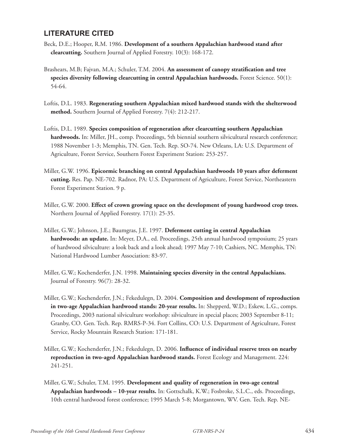# **LITERATURE CITED**

- Beck, D.E.; Hooper, R.M. 1986. **Development of a southern Appalachian hardwood stand after clearcutting.** Southern Journal of Applied Forestry. 10(3): 168-172.
- Brashears, M.B; Fajvan, M.A.; Schuler, T.M. 2004. **An assessment of canopy stratification and tree species diversity following clearcutting in central Appalachian hardwoods.** Forest Science. 50(1): 54-64.
- Loftis, D.L. 1983. **Regenerating southern Appalachian mixed hardwood stands with the shelterwood method.** Southern Journal of Applied Forestry. 7(4): 212-217.
- Loftis, D.L. 1989. **Species composition of regeneration after clearcutting southern Appalachian**  hardwoods. In: Miller, JH., comp. Proceedings, 5th biennial southern silvicultural research conference; 1988 November 1-3; Memphis, TN. Gen. Tech. Rep. SO-74. New Orleans, LA: U.S. Department of Agriculture, Forest Service, Southern Forest Experiment Station: 253-257.
- Miller, G.W. 1996. **Epicormic branching on central Appalachian hardwoods 10 years after deferment cutting.** Res. Pap. NE-702. Radnor, PA: U.S. Department of Agriculture, Forest Service, Northeastern Forest Experiment Station. 9 p.
- Miller, G.W. 2000. **Effect of crown growing space on the development of young hardwood crop trees.** Northern Journal of Applied Forestry. 17(1): 25-35.
- Miller, G.W.; Johnson, J.E.; Baumgras, J.E. 1997. **Deferment cutting in central Appalachian hardwoods: an update.** In: Meyer, D.A., ed. Proceedings, 25th annual hardwood symposium; 25 years of hardwood silviculture: a look back and a look ahead; 1997 May 7-10; Cashiers, NC. Memphis, TN: National Hardwood Lumber Association: 83-97.
- Miller, G.W.; Kochenderfer, J.N. 1998. **Maintaining species diversity in the central Appalachians.** Journal of Forestry. 96(7): 28-32.
- Miller, G.W.; Kochenderfer, J.N.; Fekedulegn, D. 2004. **Composition and development of reproduction in two-age Appalachian hardwood stands: 20-year results.** In: Shepperd, W.D.; Eskew, L.G., comps. Proceedings, 2003 national silviculture workshop: silviculture in special places; 2003 September 8-11; Granby, CO. Gen. Tech. Rep. RMRS-P-34. Fort Collins, CO: U.S. Department of Agriculture, Forest Service, Rocky Mountain Research Station: 171-181.
- Miller, G.W.; Kochenderfer, J.N.; Fekedulegn, D. 2006. **Influence of individual reserve trees on nearby reproduction in two-aged Appalachian hardwood stands.** Forest Ecology and Management. 224: 241-251.
- Miller, G.W.; Schuler, T.M. 1995. **Development and quality of regeneration in two-age central Appalachian hardwoods – 10-year results.** In: Gottschalk, K.W.; Fosbroke, S.L.C., eds. Proceedings, 10th central hardwood forest conference; 1995 March 5-8; Morgantown, WV. Gen. Tech. Rep. NE-